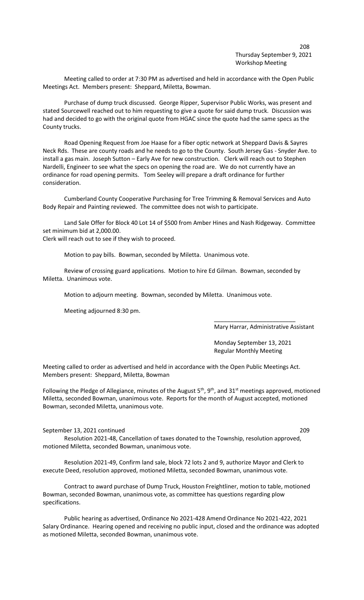## 208 Thursday September 9, 2021 Workshop Meeting

Meeting called to order at 7:30 PM as advertised and held in accordance with the Open Public Meetings Act. Members present: Sheppard, Miletta, Bowman.

Purchase of dump truck discussed. George Ripper, Supervisor Public Works, was present and stated Sourcewell reached out to him requesting to give a quote for said dump truck. Discussion was had and decided to go with the original quote from HGAC since the quote had the same specs as the County trucks.

Road Opening Request from Joe Haase for a fiber optic network at Sheppard Davis & Sayres Neck Rds. These are county roads and he needs to go to the County. South Jersey Gas - Snyder Ave. to install a gas main. Joseph Sutton – Early Ave for new construction. Clerk will reach out to Stephen Nardelli, Engineer to see what the specs on opening the road are. We do not currently have an ordinance for road opening permits. Tom Seeley will prepare a draft ordinance for further consideration.

Cumberland County Cooperative Purchasing for Tree Trimming & Removal Services and Auto Body Repair and Painting reviewed. The committee does not wish to participate.

Land Sale Offer for Block 40 Lot 14 of \$500 from Amber Hines and Nash Ridgeway. Committee set minimum bid at 2,000.00.

Clerk will reach out to see if they wish to proceed.

Motion to pay bills. Bowman, seconded by Miletta. Unanimous vote.

Review of crossing guard applications. Motion to hire Ed Gilman. Bowman, seconded by Miletta. Unanimous vote.

Motion to adjourn meeting. Bowman, seconded by Miletta. Unanimous vote.

Meeting adjourned 8:30 pm.

Mary Harrar, Administrative Assistant

Monday September 13, 2021 Regular Monthly Meeting

\_\_\_\_\_\_\_\_\_\_\_\_\_\_\_\_\_\_\_\_\_\_\_\_\_

Meeting called to order as advertised and held in accordance with the Open Public Meetings Act. Members present: Sheppard, Miletta, Bowman

Following the Pledge of Allegiance, minutes of the August 5<sup>th</sup>, 9<sup>th</sup>, and 31<sup>st</sup> meetings approved, motioned Miletta, seconded Bowman, unanimous vote. Reports for the month of August accepted, motioned Bowman, seconded Miletta, unanimous vote.

September 13, 2021 continued 209

Resolution 2021-48, Cancellation of taxes donated to the Township, resolution approved, motioned Miletta, seconded Bowman, unanimous vote.

Resolution 2021-49, Confirm land sale, block 72 lots 2 and 9, authorize Mayor and Clerk to execute Deed, resolution approved, motioned Miletta, seconded Bowman, unanimous vote.

Contract to award purchase of Dump Truck, Houston Freightliner, motion to table, motioned Bowman, seconded Bowman, unanimous vote, as committee has questions regarding plow specifications.

Public hearing as advertised, Ordinance No 2021-428 Amend Ordinance No 2021-422, 2021 Salary Ordinance. Hearing opened and receiving no public input, closed and the ordinance was adopted as motioned Miletta, seconded Bowman, unanimous vote.